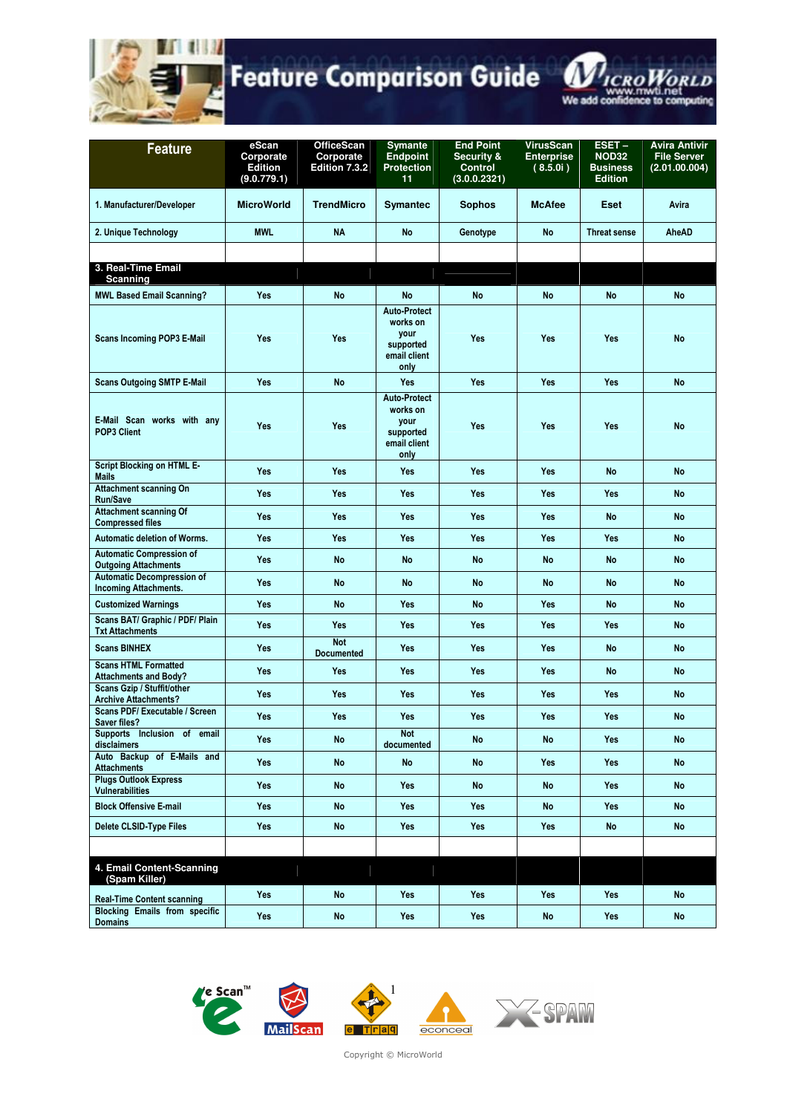



| <b>Feature</b>                                                    | eScan<br>Corporate<br><b>Edition</b><br>(9.0.779.1) | <b>OfficeScan</b><br>Corporate<br>Edition 7.3.2 | <b>Symante</b><br><b>Endpoint</b><br><b>Protection</b><br>11                 | <b>End Point</b><br>Security &<br><b>Control</b><br>(3.0.0.2321) | <b>VirusScan</b><br><b>Enterprise</b><br>(8.5.0i) | ESET-<br><b>NOD32</b><br><b>Business</b><br><b>Edition</b> | <b>Avira Antivir</b><br><b>File Server</b><br>(2.01.00.004) |
|-------------------------------------------------------------------|-----------------------------------------------------|-------------------------------------------------|------------------------------------------------------------------------------|------------------------------------------------------------------|---------------------------------------------------|------------------------------------------------------------|-------------------------------------------------------------|
| 1. Manufacturer/Developer                                         | <b>MicroWorld</b>                                   | <b>TrendMicro</b>                               | <b>Symantec</b>                                                              | <b>Sophos</b>                                                    | <b>McAfee</b>                                     | Eset                                                       | Avira                                                       |
| 2. Unique Technology                                              | <b>MWL</b>                                          | <b>NA</b>                                       | <b>No</b>                                                                    | Genotype                                                         | <b>No</b>                                         | <b>Threat sense</b>                                        | AheAD                                                       |
|                                                                   |                                                     |                                                 |                                                                              |                                                                  |                                                   |                                                            |                                                             |
| 3. Real-Time Email<br><b>Scanning</b>                             |                                                     |                                                 |                                                                              |                                                                  |                                                   |                                                            |                                                             |
| <b>MWL Based Email Scanning?</b>                                  | <b>Yes</b>                                          | <b>No</b>                                       | <b>No</b>                                                                    | <b>No</b>                                                        | <b>No</b>                                         | <b>No</b>                                                  | <b>No</b>                                                   |
| <b>Scans Incoming POP3 E-Mail</b>                                 | <b>Yes</b>                                          | <b>Yes</b>                                      | <b>Auto-Protect</b><br>works on<br>your<br>supported<br>email client<br>only | <b>Yes</b>                                                       | Yes                                               | <b>Yes</b>                                                 | <b>No</b>                                                   |
| <b>Scans Outgoing SMTP E-Mail</b>                                 | <b>Yes</b>                                          | <b>No</b>                                       | Yes                                                                          | <b>Yes</b>                                                       | Yes                                               | <b>Yes</b>                                                 | <b>No</b>                                                   |
| E-Mail Scan works with any<br>POP3 Client                         | <b>Yes</b>                                          | <b>Yes</b>                                      | <b>Auto-Protect</b><br>works on<br>your<br>supported<br>email client<br>only | <b>Yes</b>                                                       | Yes                                               | <b>Yes</b>                                                 | <b>No</b>                                                   |
| <b>Script Blocking on HTML E-</b><br><b>Mails</b>                 | Yes                                                 | <b>Yes</b>                                      | <b>Yes</b>                                                                   | <b>Yes</b>                                                       | Yes                                               | <b>No</b>                                                  | <b>No</b>                                                   |
| <b>Attachment scanning On</b><br><b>Run/Save</b>                  | <b>Yes</b>                                          | Yes                                             | <b>Yes</b>                                                                   | Yes                                                              | Yes                                               | <b>Yes</b>                                                 | <b>No</b>                                                   |
| <b>Attachment scanning Of</b><br><b>Compressed files</b>          | <b>Yes</b>                                          | Yes                                             | <b>Yes</b>                                                                   | <b>Yes</b>                                                       | <b>Yes</b>                                        | <b>No</b>                                                  | <b>No</b>                                                   |
| <b>Automatic deletion of Worms.</b>                               | <b>Yes</b>                                          | Yes                                             | <b>Yes</b>                                                                   | Yes                                                              | Yes                                               | <b>Yes</b>                                                 | <b>No</b>                                                   |
| <b>Automatic Compression of</b><br><b>Outgoing Attachments</b>    | <b>Yes</b>                                          | No                                              | <b>No</b>                                                                    | <b>No</b>                                                        | <b>No</b>                                         | No                                                         | <b>No</b>                                                   |
| <b>Automatic Decompression of</b><br><b>Incoming Attachments.</b> | <b>Yes</b>                                          | No                                              | No                                                                           | <b>No</b>                                                        | <b>No</b>                                         | No                                                         | <b>No</b>                                                   |
| <b>Customized Warnings</b>                                        | <b>Yes</b>                                          | No                                              | Yes                                                                          | <b>No</b>                                                        | Yes                                               | No                                                         | <b>No</b>                                                   |
| Scans BAT/ Graphic / PDF/ Plain<br><b>Txt Attachments</b>         | Yes                                                 | <b>Yes</b>                                      | Yes                                                                          | <b>Yes</b>                                                       | Yes                                               | <b>Yes</b>                                                 | <b>No</b>                                                   |
| <b>Scans BINHEX</b>                                               | <b>Yes</b>                                          | <b>Not</b><br><b>Documented</b>                 | Yes                                                                          | <b>Yes</b>                                                       | Yes                                               | <b>No</b>                                                  | <b>No</b>                                                   |
| <b>Scans HTML Formatted</b><br><b>Attachments and Body?</b>       | <b>Yes</b>                                          | <b>Yes</b>                                      | Yes                                                                          | <b>Yes</b>                                                       | Yes                                               | No                                                         | <b>No</b>                                                   |
| <b>Scans Gzip / Stuffit/other</b><br><b>Archive Attachments?</b>  | <b>Yes</b>                                          | Yes                                             | Yes                                                                          | Yes                                                              | Yes                                               | <b>Yes</b>                                                 | <b>No</b>                                                   |
| <b>Scans PDF/ Executable / Screen</b><br>Saver files?             | <b>Yes</b>                                          | <b>Yes</b>                                      | <b>Yes</b>                                                                   | <b>Yes</b>                                                       | Yes                                               | <b>Yes</b>                                                 | <b>No</b>                                                   |
| Supports Inclusion of email<br>disclaimers                        | <b>Yes</b>                                          | No                                              | <b>Not</b><br>documented                                                     | <b>No</b>                                                        | <b>No</b>                                         | Yes                                                        | <b>No</b>                                                   |
| Auto Backup of E-Mails and<br><b>Attachments</b>                  | Yes                                                 | <b>No</b>                                       | <b>No</b>                                                                    | No                                                               | Yes                                               | Yes                                                        | <b>No</b>                                                   |
| <b>Plugs Outlook Express</b><br><b>Vulnerabilities</b>            | <b>Yes</b>                                          | No                                              | Yes                                                                          | No                                                               | <b>No</b>                                         | Yes                                                        | <b>No</b>                                                   |
| <b>Block Offensive E-mail</b>                                     | Yes                                                 | <b>No</b>                                       | Yes                                                                          | <b>Yes</b>                                                       | <b>No</b>                                         | Yes                                                        | <b>No</b>                                                   |
| <b>Delete CLSID-Type Files</b>                                    | <b>Yes</b>                                          | <b>No</b>                                       | Yes                                                                          | Yes                                                              | Yes                                               | <b>No</b>                                                  | <b>No</b>                                                   |
|                                                                   |                                                     |                                                 |                                                                              |                                                                  |                                                   |                                                            |                                                             |
| 4. Email Content-Scanning<br>(Spam Killer)                        |                                                     |                                                 |                                                                              |                                                                  |                                                   |                                                            |                                                             |
| <b>Real-Time Content scanning</b>                                 | <b>Yes</b>                                          | No                                              | Yes                                                                          | Yes                                                              | Yes                                               | Yes                                                        | <b>No</b>                                                   |
| <b>Blocking Emails from specific</b><br><b>Domains</b>            | Yes                                                 | No                                              | Yes                                                                          | Yes                                                              | <b>No</b>                                         | Yes                                                        | <b>No</b>                                                   |



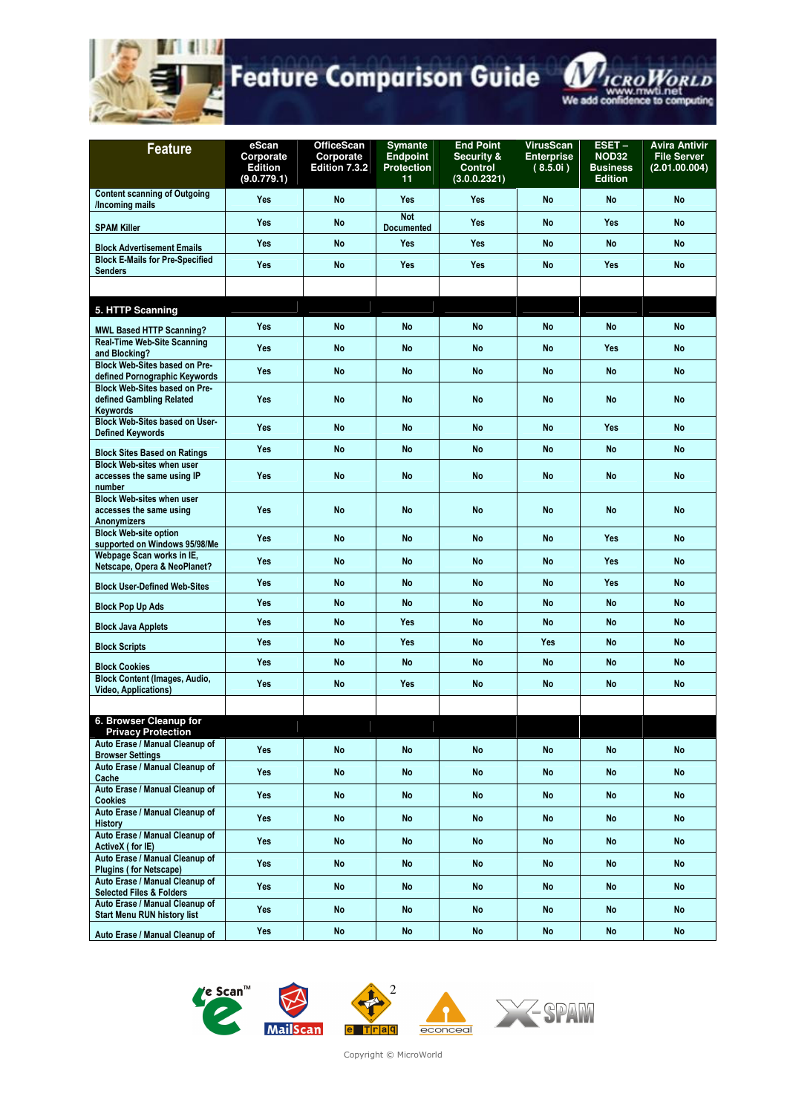



| <b>Feature</b>                                                                      | eScan<br>Corporate<br><b>Edition</b><br>(9.0.779.1) | <b>OfficeScan</b><br>Corporate<br>Edition 7.3.2 | <b>Symante</b><br><b>Endpoint</b><br><b>Protection</b><br>11 | <b>End Point</b><br><b>Security &amp;</b><br><b>Control</b><br>(3.0.0.2321) | <b>VirusScan</b><br><b>Enterprise</b><br>(8.5.0i) | $EST -$<br><b>NOD32</b><br><b>Business</b><br><b>Edition</b> | <b>Avira Antivir</b><br><b>File Server</b><br>(2.01.00.004) |
|-------------------------------------------------------------------------------------|-----------------------------------------------------|-------------------------------------------------|--------------------------------------------------------------|-----------------------------------------------------------------------------|---------------------------------------------------|--------------------------------------------------------------|-------------------------------------------------------------|
| <b>Content scanning of Outgoing</b><br>/Incoming mails                              | <b>Yes</b>                                          | <b>No</b>                                       | <b>Yes</b>                                                   | <b>Yes</b>                                                                  | <b>No</b>                                         | No                                                           | <b>No</b>                                                   |
| <b>SPAM Killer</b>                                                                  | <b>Yes</b>                                          | <b>No</b>                                       | <b>Not</b><br><b>Documented</b>                              | <b>Yes</b>                                                                  | <b>No</b>                                         | <b>Yes</b>                                                   | <b>No</b>                                                   |
| <b>Block Advertisement Emails</b>                                                   | <b>Yes</b>                                          | <b>No</b>                                       | Yes                                                          | <b>Yes</b>                                                                  | <b>No</b>                                         | <b>No</b>                                                    | <b>No</b>                                                   |
| <b>Block E-Mails for Pre-Specified</b><br><b>Senders</b>                            | <b>Yes</b>                                          | <b>No</b>                                       | Yes                                                          | <b>Yes</b>                                                                  | <b>No</b>                                         | Yes                                                          | <b>No</b>                                                   |
|                                                                                     |                                                     |                                                 |                                                              |                                                                             |                                                   |                                                              |                                                             |
| 5. HTTP Scanning                                                                    |                                                     |                                                 |                                                              |                                                                             |                                                   |                                                              |                                                             |
| <b>MWL Based HTTP Scanning?</b>                                                     | <b>Yes</b>                                          | <b>No</b>                                       | <b>No</b>                                                    | <b>No</b>                                                                   | <b>No</b>                                         | No                                                           | <b>No</b>                                                   |
| <b>Real-Time Web-Site Scanning</b><br>and Blocking?                                 | <b>Yes</b>                                          | No                                              | No                                                           | No                                                                          | <b>No</b>                                         | <b>Yes</b>                                                   | <b>No</b>                                                   |
| <b>Block Web-Sites based on Pre-</b><br>defined Pornographic Keywords               | <b>Yes</b>                                          | <b>No</b>                                       | <b>No</b>                                                    | No                                                                          | <b>No</b>                                         | No                                                           | <b>No</b>                                                   |
| <b>Block Web-Sites based on Pre-</b><br>defined Gambling Related<br><b>Keywords</b> | <b>Yes</b>                                          | <b>No</b>                                       | <b>No</b>                                                    | <b>No</b>                                                                   | <b>No</b>                                         | <b>No</b>                                                    | <b>No</b>                                                   |
| <b>Block Web-Sites based on User-</b><br><b>Defined Keywords</b>                    | <b>Yes</b>                                          | <b>No</b>                                       | <b>No</b>                                                    | <b>No</b>                                                                   | <b>No</b>                                         | <b>Yes</b>                                                   | <b>No</b>                                                   |
| <b>Block Sites Based on Ratings</b>                                                 | <b>Yes</b>                                          | <b>No</b>                                       | <b>No</b>                                                    | <b>No</b>                                                                   | <b>No</b>                                         | No                                                           | <b>No</b>                                                   |
| <b>Block Web-sites when user</b><br>accesses the same using IP<br>number            | <b>Yes</b>                                          | <b>No</b>                                       | No                                                           | <b>No</b>                                                                   | <b>No</b>                                         | No                                                           | <b>No</b>                                                   |
| <b>Block Web-sites when user</b><br>accesses the same using<br><b>Anonymizers</b>   | <b>Yes</b>                                          | <b>No</b>                                       | <b>No</b>                                                    | <b>No</b>                                                                   | <b>No</b>                                         | <b>No</b>                                                    | <b>No</b>                                                   |
| <b>Block Web-site option</b><br>supported on Windows 95/98/Me                       | <b>Yes</b>                                          | <b>No</b>                                       | <b>No</b>                                                    | <b>No</b>                                                                   | <b>No</b>                                         | Yes                                                          | <b>No</b>                                                   |
| Webpage Scan works in IE,<br>Netscape, Opera & NeoPlanet?                           | <b>Yes</b>                                          | <b>No</b>                                       | <b>No</b>                                                    | <b>No</b>                                                                   | <b>No</b>                                         | <b>Yes</b>                                                   | <b>No</b>                                                   |
| <b>Block User-Defined Web-Sites</b>                                                 | <b>Yes</b>                                          | <b>No</b>                                       | <b>No</b>                                                    | <b>No</b>                                                                   | <b>No</b>                                         | <b>Yes</b>                                                   | <b>No</b>                                                   |
| <b>Block Pop Up Ads</b>                                                             | <b>Yes</b>                                          | <b>No</b>                                       | <b>No</b>                                                    | <b>No</b>                                                                   | <b>No</b>                                         | No                                                           | <b>No</b>                                                   |
| <b>Block Java Applets</b>                                                           | Yes                                                 | No                                              | <b>Yes</b>                                                   | <b>No</b>                                                                   | <b>No</b>                                         | <b>No</b>                                                    | <b>No</b>                                                   |
| <b>Block Scripts</b>                                                                | Yes                                                 | <b>No</b>                                       | Yes                                                          | <b>No</b>                                                                   | Yes                                               | <b>No</b>                                                    | <b>No</b>                                                   |
| <b>Block Cookies</b>                                                                | Yes                                                 | <b>No</b>                                       | <b>No</b>                                                    | No                                                                          | <b>No</b>                                         | No                                                           | <b>No</b>                                                   |
| <b>Block Content (Images, Audio,</b><br><b>Video, Applications)</b>                 | <b>Yes</b>                                          | <b>No</b>                                       | Yes                                                          | No                                                                          | <b>No</b>                                         | No                                                           | <b>No</b>                                                   |
|                                                                                     |                                                     |                                                 |                                                              |                                                                             |                                                   |                                                              |                                                             |
| 6. Browser Cleanup for<br><b>Privacy Protection</b>                                 |                                                     |                                                 |                                                              |                                                                             |                                                   |                                                              |                                                             |
| Auto Erase / Manual Cleanup of<br><b>Browser Settings</b>                           | Yes                                                 | No                                              | <b>No</b>                                                    | No                                                                          | <b>No</b>                                         | <b>No</b>                                                    | <b>No</b>                                                   |
| Auto Erase / Manual Cleanup of<br>Cache                                             | Yes                                                 | <b>No</b>                                       | <b>No</b>                                                    | No                                                                          | <b>No</b>                                         | No                                                           | <b>No</b>                                                   |
| Auto Erase / Manual Cleanup of<br><b>Cookies</b>                                    | Yes                                                 | No                                              | <b>No</b>                                                    | No                                                                          | No                                                | No                                                           | <b>No</b>                                                   |
| Auto Erase / Manual Cleanup of<br><b>History</b>                                    | <b>Yes</b>                                          | No                                              | <b>No</b>                                                    | <b>No</b>                                                                   | No                                                | No                                                           | <b>No</b>                                                   |
| Auto Erase / Manual Cleanup of                                                      | Yes                                                 | <b>No</b>                                       | <b>No</b>                                                    | No                                                                          | No                                                | No                                                           | <b>No</b>                                                   |
| ActiveX (for IE)<br>Auto Erase / Manual Cleanup of                                  | <b>Yes</b>                                          | <b>No</b>                                       | <b>No</b>                                                    | No                                                                          | <b>No</b>                                         | No                                                           | <b>No</b>                                                   |
| <b>Plugins (for Netscape)</b><br>Auto Erase / Manual Cleanup of                     | Yes                                                 | No                                              | <b>No</b>                                                    | <b>No</b>                                                                   | No                                                | No                                                           | <b>No</b>                                                   |
| <b>Selected Files &amp; Folders</b><br>Auto Erase / Manual Cleanup of               | <b>Yes</b>                                          | No                                              | <b>No</b>                                                    | <b>No</b>                                                                   | <b>No</b>                                         | No                                                           | <b>No</b>                                                   |
| <b>Start Menu RUN history list</b><br>Auto Erase / Manual Cleanup of                | Yes                                                 | No                                              | <b>No</b>                                                    | No                                                                          | No                                                | No                                                           | <b>No</b>                                                   |









Copyright © MicroWorld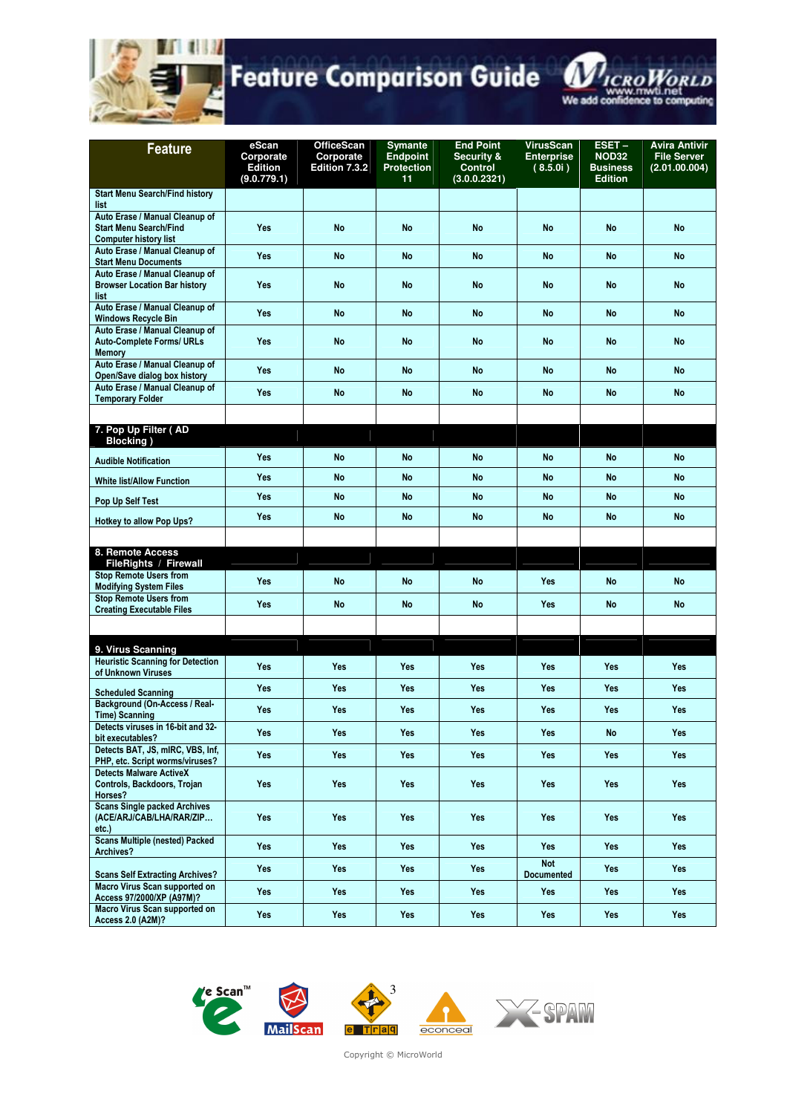



| <b>Feature</b>                                                                                | eScan<br>Corporate<br><b>Edition</b><br>(9.0.779.1) | <b>OfficeScan</b><br>Corporate<br>Edition 7.3.2 | <b>Symante</b><br><b>Endpoint</b><br><b>Protection</b><br>11 | <b>End Point</b><br><b>Security &amp;</b><br><b>Control</b><br>(3.0.0.2321) | <b>VirusScan</b><br><b>Enterprise</b><br>(8.5.0i) | $EST -$<br><b>NOD32</b><br><b>Business</b><br><b>Edition</b> | <b>Avira Antivir</b><br><b>File Server</b><br>(2.01.00.004) |
|-----------------------------------------------------------------------------------------------|-----------------------------------------------------|-------------------------------------------------|--------------------------------------------------------------|-----------------------------------------------------------------------------|---------------------------------------------------|--------------------------------------------------------------|-------------------------------------------------------------|
| <b>Start Menu Search/Find history</b>                                                         |                                                     |                                                 |                                                              |                                                                             |                                                   |                                                              |                                                             |
| list<br>Auto Erase / Manual Cleanup of<br><b>Start Menu Search/Find</b>                       | <b>Yes</b>                                          | <b>No</b>                                       | <b>No</b>                                                    | <b>No</b>                                                                   | <b>No</b>                                         | <b>No</b>                                                    | <b>No</b>                                                   |
| <b>Computer history list</b><br>Auto Erase / Manual Cleanup of<br><b>Start Menu Documents</b> | <b>Yes</b>                                          | <b>No</b>                                       | No                                                           | <b>No</b>                                                                   | <b>No</b>                                         | No                                                           | <b>No</b>                                                   |
| Auto Erase / Manual Cleanup of<br><b>Browser Location Bar history</b><br>list                 | <b>Yes</b>                                          | No                                              | No                                                           | No                                                                          | <b>No</b>                                         | No                                                           | <b>No</b>                                                   |
| Auto Erase / Manual Cleanup of<br><b>Windows Recycle Bin</b>                                  | <b>Yes</b>                                          | <b>No</b>                                       | <b>No</b>                                                    | <b>No</b>                                                                   | <b>No</b>                                         | <b>No</b>                                                    | <b>No</b>                                                   |
| Auto Erase / Manual Cleanup of<br><b>Auto-Complete Forms/ URLs</b><br><b>Memory</b>           | <b>Yes</b>                                          | <b>No</b>                                       | <b>No</b>                                                    | <b>No</b>                                                                   | <b>No</b>                                         | No                                                           | <b>No</b>                                                   |
| Auto Erase / Manual Cleanup of<br>Open/Save dialog box history                                | <b>Yes</b>                                          | <b>No</b>                                       | No                                                           | No                                                                          | <b>No</b>                                         | No                                                           | <b>No</b>                                                   |
| Auto Erase / Manual Cleanup of<br><b>Temporary Folder</b>                                     | <b>Yes</b>                                          | <b>No</b>                                       | <b>No</b>                                                    | No                                                                          | <b>No</b>                                         | No                                                           | <b>No</b>                                                   |
|                                                                                               |                                                     |                                                 |                                                              |                                                                             |                                                   |                                                              |                                                             |
| 7. Pop Up Filter (AD<br><b>Blocking</b> )                                                     |                                                     |                                                 |                                                              |                                                                             |                                                   |                                                              |                                                             |
| <b>Audible Notification</b>                                                                   | <b>Yes</b>                                          | <b>No</b>                                       | <b>No</b>                                                    | <b>No</b>                                                                   | <b>No</b>                                         | No                                                           | <b>No</b>                                                   |
| <b>White list/Allow Function</b>                                                              | <b>Yes</b>                                          | <b>No</b>                                       | <b>No</b>                                                    | <b>No</b>                                                                   | <b>No</b>                                         | No                                                           | <b>No</b>                                                   |
| Pop Up Self Test                                                                              | <b>Yes</b>                                          | <b>No</b>                                       | No                                                           | No                                                                          | <b>No</b>                                         | No                                                           | <b>No</b>                                                   |
| Hotkey to allow Pop Ups?                                                                      | <b>Yes</b>                                          | No                                              | No                                                           | <b>No</b>                                                                   | <b>No</b>                                         | No                                                           | No                                                          |
| 8. Remote Access                                                                              |                                                     |                                                 |                                                              |                                                                             |                                                   |                                                              |                                                             |
| FileRights / Firewall<br><b>Stop Remote Users from</b>                                        |                                                     |                                                 |                                                              |                                                                             |                                                   |                                                              |                                                             |
| <b>Modifying System Files</b>                                                                 | <b>Yes</b>                                          | No                                              | No                                                           | No                                                                          | Yes                                               | No                                                           | <b>No</b>                                                   |
| <b>Stop Remote Users from</b><br><b>Creating Executable Files</b>                             | Yes                                                 | <b>No</b>                                       | <b>No</b>                                                    | <b>No</b>                                                                   | Yes                                               | No                                                           | <b>No</b>                                                   |
|                                                                                               |                                                     |                                                 |                                                              |                                                                             |                                                   |                                                              |                                                             |
| 9. Virus Scanning                                                                             |                                                     |                                                 |                                                              |                                                                             |                                                   |                                                              |                                                             |
| <b>Heuristic Scanning for Detection</b><br>of Unknown Viruses                                 | <b>Yes</b>                                          | Yes                                             | Yes                                                          | <b>Yes</b>                                                                  | Yes                                               | Yes                                                          | Yes                                                         |
| <b>Scheduled Scanning</b>                                                                     | <b>Yes</b>                                          | Yes                                             | Yes                                                          | Yes                                                                         | Yes                                               | Yes                                                          | <b>Yes</b>                                                  |
| <b>Background (On-Access / Real-</b><br><b>Time) Scanning</b>                                 | <b>Yes</b>                                          | Yes                                             | Yes                                                          | <b>Yes</b>                                                                  | Yes                                               | Yes                                                          | Yes                                                         |
| Detects viruses in 16-bit and 32-<br>bit executables?                                         | <b>Yes</b>                                          | Yes                                             | Yes                                                          | Yes                                                                         | Yes                                               | No                                                           | Yes                                                         |
| Detects BAT, JS, mIRC, VBS, Inf,<br>PHP, etc. Script worms/viruses?                           | <b>Yes</b>                                          | Yes                                             | Yes                                                          | <b>Yes</b>                                                                  | Yes                                               | Yes                                                          | Yes                                                         |
| <b>Detects Malware ActiveX</b><br>Controls, Backdoors, Trojan<br>Horses?                      | <b>Yes</b>                                          | Yes                                             | Yes                                                          | <b>Yes</b>                                                                  | Yes                                               | <b>Yes</b>                                                   | Yes                                                         |
| <b>Scans Single packed Archives</b><br>(ACE/ARJ/CAB/LHA/RAR/ZIP<br>$etc.$ )                   | <b>Yes</b>                                          | Yes                                             | Yes                                                          | Yes                                                                         | Yes                                               | <b>Yes</b>                                                   | Yes                                                         |
| <b>Scans Multiple (nested) Packed</b><br>Archives?                                            | <b>Yes</b>                                          | Yes                                             | Yes                                                          | <b>Yes</b>                                                                  | Yes                                               | Yes                                                          | Yes                                                         |
| <b>Scans Self Extracting Archives?</b>                                                        | <b>Yes</b>                                          | Yes                                             | Yes                                                          | Yes                                                                         | <b>Not</b><br><b>Documented</b>                   | Yes                                                          | Yes                                                         |
| Macro Virus Scan supported on<br>Access 97/2000/XP (A97M)?                                    | <b>Yes</b>                                          | Yes                                             | Yes                                                          | Yes                                                                         | Yes                                               | <b>Yes</b>                                                   | <b>Yes</b>                                                  |
| Macro Virus Scan supported on<br><b>Access 2.0 (A2M)?</b>                                     | Yes                                                 | Yes                                             | Yes                                                          | Yes                                                                         | Yes                                               | Yes                                                          | Yes                                                         |





Copyright © MicroWorld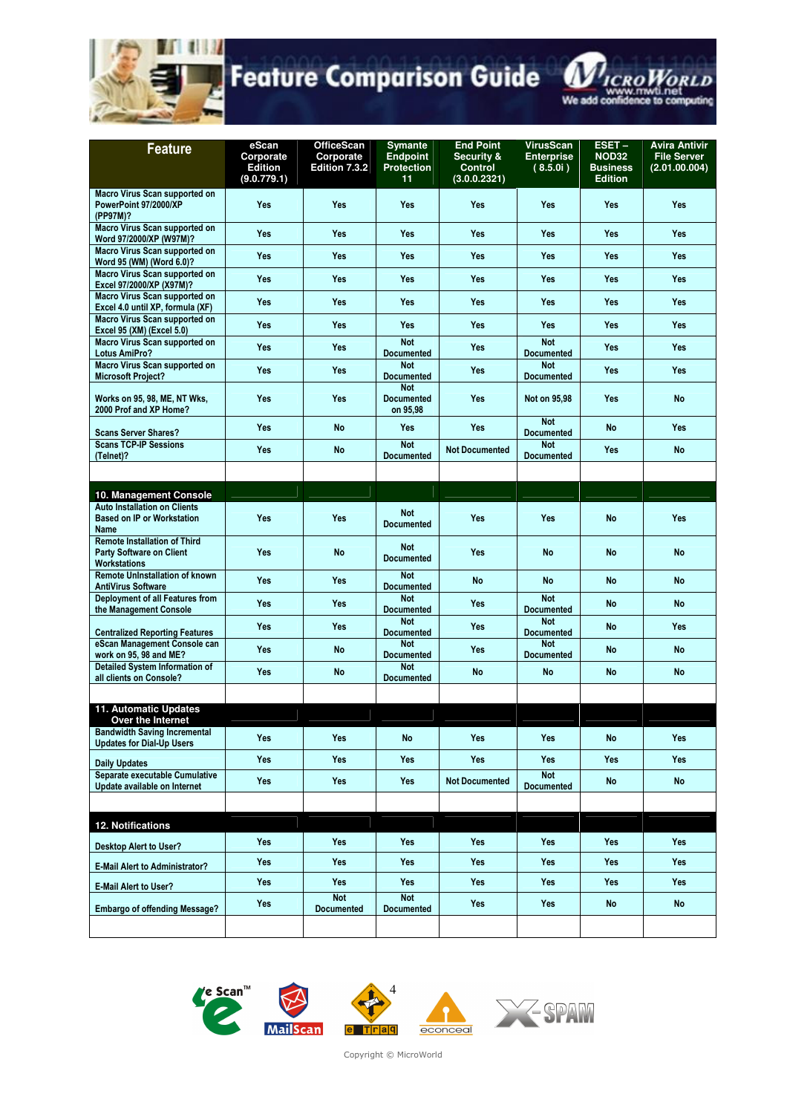

| <b>Feature</b>                                                                                | eScan<br>Corporate<br><b>Edition</b><br>(9.0.779.1) | <b>OfficeScan</b><br>Corporate<br>Edition 7.3.2 | <b>Symante</b><br><b>Endpoint</b><br><b>Protection</b><br>11 | <b>End Point</b><br><b>Security &amp;</b><br><b>Control</b><br>(3.0.0.2321) | <b>VirusScan</b><br><b>Enterprise</b><br>(8.5.0i) | $EST -$<br><b>NOD32</b><br><b>Business</b><br><b>Edition</b> | <b>Avira Antivir</b><br><b>File Server</b><br>(2.01.00.004) |
|-----------------------------------------------------------------------------------------------|-----------------------------------------------------|-------------------------------------------------|--------------------------------------------------------------|-----------------------------------------------------------------------------|---------------------------------------------------|--------------------------------------------------------------|-------------------------------------------------------------|
| Macro Virus Scan supported on<br>PowerPoint 97/2000/XP<br>(PP97M)?                            | Yes                                                 | Yes                                             | Yes                                                          | Yes                                                                         | Yes                                               | Yes                                                          | <b>Yes</b>                                                  |
| Macro Virus Scan supported on<br>Word 97/2000/XP (W97M)?                                      | <b>Yes</b>                                          | Yes                                             | Yes                                                          | <b>Yes</b>                                                                  | Yes                                               | <b>Yes</b>                                                   | <b>Yes</b>                                                  |
| <b>Macro Virus Scan supported on</b><br>Word 95 (WM) (Word 6.0)?                              | <b>Yes</b>                                          | Yes                                             | Yes                                                          | <b>Yes</b>                                                                  | <b>Yes</b>                                        | <b>Yes</b>                                                   | <b>Yes</b>                                                  |
| Macro Virus Scan supported on<br>Excel 97/2000/XP (X97M)?                                     | <b>Yes</b>                                          | Yes                                             | Yes                                                          | <b>Yes</b>                                                                  | Yes                                               | <b>Yes</b>                                                   | <b>Yes</b>                                                  |
| Macro Virus Scan supported on<br>Excel 4.0 until XP, formula (XF)                             | <b>Yes</b>                                          | Yes                                             | Yes                                                          | <b>Yes</b>                                                                  | Yes                                               | <b>Yes</b>                                                   | <b>Yes</b>                                                  |
| Macro Virus Scan supported on<br>Excel 95 (XM) (Excel 5.0)                                    | Yes                                                 | Yes                                             | Yes                                                          | <b>Yes</b>                                                                  | Yes                                               | <b>Yes</b>                                                   | <b>Yes</b>                                                  |
| Macro Virus Scan supported on<br><b>Lotus AmiPro?</b>                                         | <b>Yes</b>                                          | Yes                                             | <b>Not</b><br><b>Documented</b>                              | <b>Yes</b>                                                                  | <b>Not</b><br><b>Documented</b>                   | Yes                                                          | Yes                                                         |
| Macro Virus Scan supported on<br><b>Microsoft Project?</b>                                    | <b>Yes</b>                                          | <b>Yes</b>                                      | <b>Not</b><br><b>Documented</b>                              | <b>Yes</b>                                                                  | <b>Not</b><br><b>Documented</b>                   | <b>Yes</b>                                                   | <b>Yes</b>                                                  |
| Works on 95, 98, ME, NT Wks,<br>2000 Prof and XP Home?                                        | <b>Yes</b>                                          | Yes                                             | <b>Not</b><br><b>Documented</b><br>on 95,98                  | <b>Yes</b>                                                                  | Not on 95,98                                      | Yes                                                          | <b>No</b>                                                   |
| <b>Scans Server Shares?</b>                                                                   | <b>Yes</b>                                          | <b>No</b>                                       | Yes                                                          | <b>Yes</b>                                                                  | <b>Not</b><br><b>Documented</b>                   | No                                                           | <b>Yes</b>                                                  |
| <b>Scans TCP-IP Sessions</b><br>(Telnet)?                                                     | <b>Yes</b>                                          | <b>No</b>                                       | <b>Not</b><br><b>Documented</b>                              | <b>Not Documented</b>                                                       | <b>Not</b><br><b>Documented</b>                   | <b>Yes</b>                                                   | <b>No</b>                                                   |
|                                                                                               |                                                     |                                                 |                                                              |                                                                             |                                                   |                                                              |                                                             |
| 10. Management Console                                                                        |                                                     |                                                 |                                                              |                                                                             |                                                   |                                                              |                                                             |
| <b>Auto Installation on Clients</b><br><b>Based on IP or Workstation</b><br>Name              | Yes                                                 | Yes                                             | <b>Not</b><br><b>Documented</b>                              | <b>Yes</b>                                                                  | Yes                                               | <b>No</b>                                                    | <b>Yes</b>                                                  |
| <b>Remote Installation of Third</b><br><b>Party Software on Client</b><br><b>Workstations</b> | Yes                                                 | <b>No</b>                                       | <b>Not</b><br><b>Documented</b>                              | Yes                                                                         | <b>No</b>                                         | <b>No</b>                                                    | <b>No</b>                                                   |
| <b>Remote Uninstallation of known</b><br><b>AntiVirus Software</b>                            | <b>Yes</b>                                          | <b>Yes</b>                                      | <b>Not</b><br><b>Documented</b>                              | <b>No</b>                                                                   | <b>No</b>                                         | No                                                           | <b>No</b>                                                   |
| Deployment of all Features from<br>the Management Console                                     | <b>Yes</b>                                          | <b>Yes</b>                                      | <b>Not</b><br><b>Documented</b>                              | <b>Yes</b>                                                                  | <b>Not</b><br><b>Documented</b>                   | No                                                           | No                                                          |
| <b>Centralized Reporting Features</b>                                                         | Yes                                                 | Yes                                             | <b>Not</b><br><b>Documented</b>                              | <b>Yes</b>                                                                  | <b>Not</b><br><b>Documented</b>                   | <b>No</b>                                                    | <b>Yes</b>                                                  |
| eScan Management Console can<br>work on 95, 98 and ME?                                        | <b>Yes</b>                                          | <b>No</b>                                       | <b>Not</b><br><b>Documented</b>                              | Yes                                                                         | <b>Not</b><br><b>Documented</b>                   | No                                                           | <b>No</b>                                                   |
| Detailed System Information of<br>all clients on Console?                                     | <b>Yes</b>                                          | <b>No</b>                                       | <b>Not</b><br><b>Documented</b>                              | No                                                                          | <b>No</b>                                         | <b>No</b>                                                    | No                                                          |
|                                                                                               |                                                     |                                                 |                                                              |                                                                             |                                                   |                                                              |                                                             |
| 11. Automatic Updates<br>Over the Internet                                                    |                                                     |                                                 |                                                              |                                                                             |                                                   |                                                              |                                                             |
| <b>Bandwidth Saving Incremental</b><br><b>Updates for Dial-Up Users</b>                       | Yes                                                 | Yes                                             | <b>No</b>                                                    | <b>Yes</b>                                                                  | Yes                                               | <b>No</b>                                                    | Yes                                                         |
| <b>Daily Updates</b>                                                                          | <b>Yes</b>                                          | <b>Yes</b>                                      | <b>Yes</b>                                                   | <b>Yes</b>                                                                  | Yes                                               | <b>Yes</b>                                                   | <b>Yes</b>                                                  |
| Separate executable Cumulative<br>Update available on Internet                                | Yes                                                 | <b>Yes</b>                                      | <b>Yes</b>                                                   | <b>Not Documented</b>                                                       | <b>Not</b><br><b>Documented</b>                   | <b>No</b>                                                    | <b>No</b>                                                   |
|                                                                                               |                                                     |                                                 |                                                              |                                                                             |                                                   |                                                              |                                                             |
| 12. Notifications                                                                             |                                                     |                                                 |                                                              |                                                                             |                                                   |                                                              |                                                             |
| <b>Desktop Alert to User?</b>                                                                 | <b>Yes</b>                                          | <b>Yes</b>                                      | <b>Yes</b>                                                   | <b>Yes</b>                                                                  | Yes                                               | Yes                                                          | Yes                                                         |
| <b>E-Mail Alert to Administrator?</b>                                                         | <b>Yes</b>                                          | <b>Yes</b>                                      | <b>Yes</b>                                                   | <b>Yes</b>                                                                  | Yes                                               | Yes                                                          | <b>Yes</b>                                                  |
| <b>E-Mail Alert to User?</b>                                                                  | Yes                                                 | Yes<br><b>Not</b>                               | <b>Yes</b><br><b>Not</b>                                     | Yes                                                                         | Yes                                               | Yes                                                          | Yes                                                         |
| <b>Embargo of offending Message?</b>                                                          | Yes                                                 | <b>Documented</b>                               | <b>Documented</b>                                            | <b>Yes</b>                                                                  | Yes                                               | No                                                           | No                                                          |
|                                                                                               |                                                     |                                                 |                                                              |                                                                             |                                                   |                                                              |                                                             |